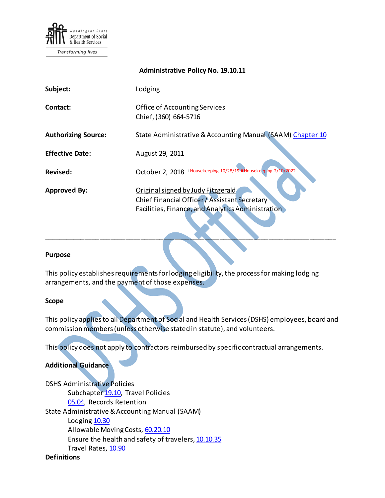

Transforming lives

# **Administrative Policy No. 19.10.11 Subject:** Lodging **Contact: Contact: Contact: Office of Accounting Services** Chief,(360) 664-5716 Authorizing Source: State Administrative & Accounting Manual (SAAM) [Chapter 10](http://www.ofm.wa.gov/policy/10.htm) **Effective Date:** August 29, 2011 Rev[i](#page-6-0)sed: Cotober 2, 2018 <sup>i Housekeeping 10/28/19 [ii](#page-6-1) Housekeeping 2/10/2022</sup> **Approved By:** Original signed by Judy Fitzgerald Chief Financial Officer / Assistant Secretary Facilities, Finance, and Analytics Administration

#### **Purpose**

This policy establishes requirements for lodging eligibility, the process for making lodging arrangements, and the payment of those expenses.

\_\_\_\_\_\_\_\_\_\_\_\_\_\_\_\_\_\_\_\_\_\_\_\_\_\_\_\_\_\_\_\_\_\_\_\_\_\_\_\_\_\_\_\_\_\_\_\_\_\_\_\_\_\_\_\_\_\_\_\_\_\_\_\_\_\_\_\_\_\_\_\_\_\_\_\_\_\_

#### **Scope**

This policy applies to all Department of Social and Health Services (DSHS) employees, board and commission members(unless otherwise stated in statute), and volunteers.

This policy does not apply to contractors reimbursed by specific contractual arrangements.

#### **Additional Guidance**

DSHS Administrative Policies Subchapte[r 19.10,](http://one.dshs.wa.lcl/policies/Pages/default.aspx) Travel Policies [05.04,](http://one.dshs.wa.lcl/Policies/Administrative/DSHS-AP-05-04.pdf) Records Retention State Administrative & Accounting Manual (SAAM) Lodgin[g 10.30](https://ofm.wa.gov/sites/default/files/public/legacy/policy/10.30.htm) Allowable Moving Costs, [60.20.10](http://www.ofm.wa.gov/policy/60.20.htm) Ensure the health and safety of travelers[, 10.10.35](http://www.ofm.wa.gov/policy/10.10.htm) Travel Rates[, 10.90](http://www.ofm.wa.gov/policy/10.90.htm)

#### **Definitions**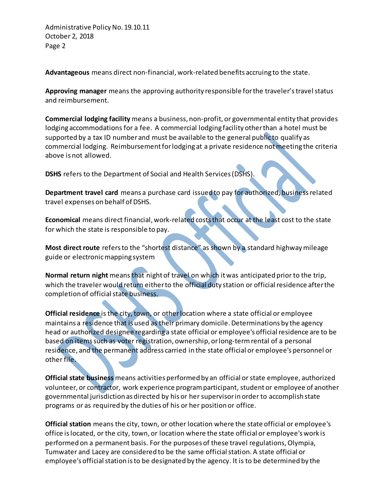Administrative Policy No. 19.10.11 October 2, 2018 Page 2

**Advantageous** means direct non-financial, work-related benefits accruing to the state.

**Approving manager** means the approving authority responsible for the traveler's travel status and reimbursement.

**Commercial lodging facility** means a business, non-profit, or governmental entity that provides lodging accommodations for a fee. A commercial lodging facility other than a hotel must be supported by a tax ID number and must be available to the general publicto qualify as commercial lodging. Reimbursement for lodging at a private residence not meeting the criteria above is not allowed.

**DSHS** refers to the Department of Social and Health Services (DSHS).

**Department travel card** means a purchase card issued to pay for authorized, business related travel expenses on behalf of DSHS.

**Economical** means direct financial, work-related costs that occur at the least cost to the state for which the state is responsible to pay.

**Most direct route** refers to the "shortest distance" as shown by a standard highway mileage guide or electronic mapping system

**Normal return night** means that night of travel on which it was anticipated prior to the trip, which the traveler would return either to the official duty station or official residence after the completion of official state business.

**Official residence** is the city, town, or other location where a state official or employee maintains a residence that is used as their primary domicile. Determinations by the agency head or authorized designee regarding a state official or employee's official residence are to be based on items such as voter registration, ownership, or long-term rental of a personal residence, and the permanent address carried in the state official or employee's personnel or other file.

**Official state business** means activities performed by an official or state employee, authorized volunteer, or contractor, work experience program participant, student or employee of another governmental jurisdiction as directed by his or her supervisor in order to accomplish state programs or as required by the duties of his or her position or office.

**Official station** means the city, town, or other location where the state official or employee's office is located, or the city, town, or location where the state official or employee's work is performed on a permanent basis. For the purposes of these travel regulations, Olympia, Tumwater and Lacey are considered to be the same official station. A state official or employee's official station is to be designated by the agency. It is to be determined by the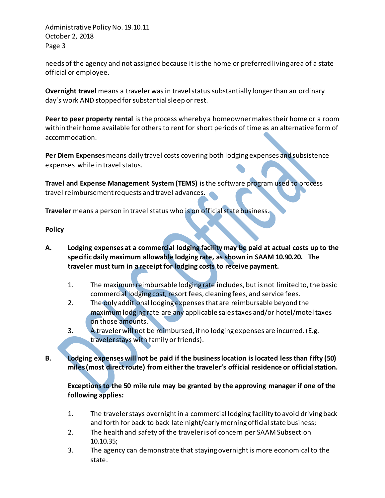Administrative Policy No. 19.10.11 October 2, 2018 Page 3

needs of the agency and not assigned because it is the home or preferred living area of a state official or employee.

**Overnight travel** means a traveler was in travel status substantially longer than an ordinary day's work AND stopped for substantial sleep or rest.

**Peer to peer property rental** is the process whereby a homeowner makes their home or a room within their home available for others to rent for short periods of time as an alternative form of accommodation.

**Per Diem Expenses** means daily travel costs covering both lodging expenses and subsistence expenses while in travel status.

**Travel and Expense Management System (TEMS)** is the software program used to process travel reimbursement requests and travel advances.

**Traveler** means a person in travel status who is on official state business.

## **Policy**

- **A. Lodging expenses at a commercial lodging facility may be paid at actual costs up to the specific daily maximum allowable lodging rate, as shown in SAAM 10.90.20. The traveler must turn in a receipt for lodging costs to receive payment.**
	- 1. The maximum reimbursable lodging rate includes, but is not limited to, the basic commercial lodging cost, resort fees, cleaning fees, and service fees.
	- 2. The only additional lodging expenses that are reimbursable beyond the maximum lodging rate are any applicable sales taxes and/or hotel/motel taxes on those amounts.
	- 3. A traveler will not be reimbursed, if no lodging expenses are incurred. (E.g. traveler stays with family or friends).
- **B. Lodging expenses will not be paid if the business location is located less than fifty (50) miles (most direct route) from either the traveler's [official residence](http://www.ofm.wa.gov/policy/glossary.asp#officialResidence) or [official station.](http://www.ofm.wa.gov/policy/glossary.asp#officialStation)**

**Exceptions to the 50 mile rule may be granted by the approving manager if one of the following applies:**

- 1. The traveler stays overnight in a commercial lodging facility to avoid drivingback and forth for back to back late night/early morning official state business;
- 2. The health and safety of the traveler is of concern per SAAM Subsection 10.10.35;
- 3. The agency can demonstrate that staying overnight is more economical to the state.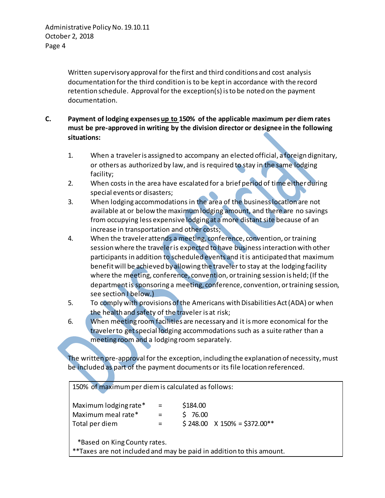Written supervisory approval for the first and third conditions and cost analysis documentation for the third condition is to be kept in accordance with the record retention schedule. Approval for the exception(s) is to be noted on the payment documentation.

- **C. Payment of lodging expenses up to 150% of the applicable maximum per diem rates must be pre-approved in writing by the division director or designee in the following situations:**
	- 1. When a traveleris assigned to accompany an elected official, a foreign dignitary, or others as authorized by law, and is required to stay in the same lodging facility;
	- 2. When costs in the area have escalated for a brief period of time either during special events or disasters;
	- 3. When lodging accommodations in the area of the business location are not available at or below the maximum lodging amount, and there are no savings from occupying less expensive lodging at a more distant site because of an increase in transportation and other costs;
	- 4. When the traveler attends a meeting, conference, convention, or training session where the traveler is expected to have business interaction with other participants in addition to scheduled events and it is anticipated that maximum benefit will be achieved by allowing the traveler to stay at the lodging facility where the meeting, conference, convention, or training session is held;(If the department is sponsoring a meeting, conference, convention, or training session, see section I below.)
	- 5. To comply with provisions of the Americans with Disabilities Act (ADA) or when the health and safety of the traveler is at risk;
	- 6. When meeting room facilities are necessary and it is more economical for the traveler to get special lodging accommodations such as a suite rather than a meeting room and a lodging room separately.

The written pre-approval for the exception, including the explanation of necessity, must be included as part of the payment documents or its file location referenced.

150% of maximum per diem is calculated as follows:

| Maximum lodging rate* | $\equiv$ | \$184.00 |                                     |
|-----------------------|----------|----------|-------------------------------------|
| Maximum meal rate*    | $=$      | \$76.00  |                                     |
| Total per diem        | $=$      |          | $$248.00 \times 150\% = $372.00**$$ |

\*Based on King County rates.

\*\*Taxes are not included and may be paid in addition to this amount.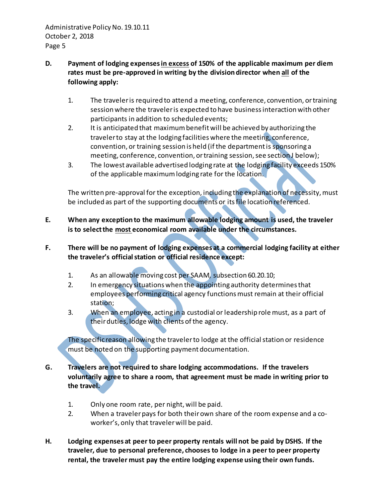## **D. Payment of lodging expenses in excess of 150% of the applicable maximum per diem rates must be pre-approved in writing by the division director when all of the following apply:**

- 1. The traveler is required to attend a meeting, conference, convention, or training session where the traveler is expected to have business interaction with other participants in addition to scheduled events;
- 2. It is anticipated that maximum benefit will be achieved by authorizing the traveler to stay at the lodging facilities where the meeting, conference, convention, or training session is held (if the department is sponsoring a meeting, conference, convention, or training session, see section J below);
- 3. The lowest available advertised lodging rate at the lodging facility exceeds 150% of the applicable maximum lodging rate for the location.

The written pre-approval for the exception, including the explanation of necessity, must be included as part of the supporting documents or its file location referenced.

- **E. When any exception to the maximum allowable lodging amount is used, the traveler is to select the most economical room available under the circumstances.**
- **F. There will be no payment of lodging expenses at a commercial lodging facility at either the traveler's official station or official residence except:** 
	- 1. As an allowable moving cost per SAAM, subsection 60.20.10;
	- 2. In emergency situations when the appointing authority determines that employees performing critical agency functions must remain at their official station;
	- 3. When an employee, acting in a custodial or leadership role must, as a part of their duties, lodge with clients of the agency.

The specific reason allowing the traveler to lodge at the official station or residence must be noted on the supporting payment documentation.

- **G. Travelers are not required to share lodging accommodations. If the travelers voluntarily agree to share a room, that agreement must be made in writing prior to the travel.**
	- 1. Only one room rate, per night, will be paid.
	- 2. When a traveler pays for both their own share of the room expense and a coworker's, only that traveler will be paid.
- **H. Lodging expenses at peer to peer property rentals will not be paid by DSHS. If the traveler, due to personal preference, chooses to lodge in a peer to peer property rental, the traveler must pay the entire lodging expense using their own funds.**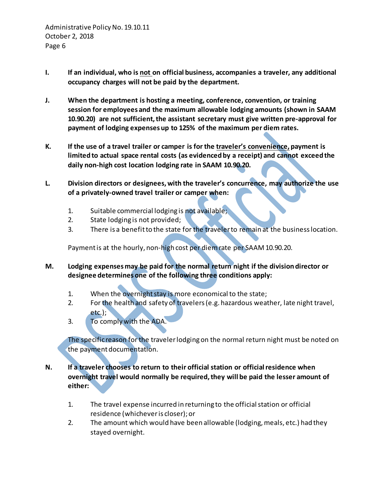- **I. If an individual, who is not on official business, accompanies a traveler, any additional occupancy charges will not be paid by the department.**
- **J. When the department is hosting a meeting, conference, convention, or training session for employees and the maximum allowable lodging amounts (shown in SAAM 10.90.20) are not sufficient, the assistant secretary must give written pre-approval for payment of lodging expenses up to 125% of the maximum per diem rates.**
- **K. If the use of a travel trailer or camper is for the traveler's convenience, payment is limited to actual space rental costs (as evidenced by a receipt) and cannot exceed the daily non-high cost location lodging rate in SAAM 10.90.20.**
- **L. Division directors or designees, with the traveler's concurrence, may authorize the use of a privately-owned travel trailer or camper when:**
	- 1. Suitable commercial lodging is not available;
	- 2. State lodging is not provided;
	- 3. There is a benefit to the state for the traveler to remain at the business location.

Paymentis at the hourly, non-high cost per diem rate per SAAM 10.90.20.

- **M. Lodging expensesmay be paid for the normal return night if the division director or designee determines one of the following three conditions apply:** 
	- 1. When the overnight stay is more economical to the state;
	- 2. For the health and safety of travelers (e.g. hazardous weather, late night travel, etc.);
	- 3. To comply with the ADA.

The specific reason for the traveler lodging on the normal return night must be noted on the payment documentation.

- **N. If a traveler chooses to return to their official station or official residence when overnight travel would normally be required, they will be paid the lesser amount of either:**
	- 1. The travel expense incurred in returning to the official station or official residence (whichever is closer); or
	- 2. The amount which would have been allowable (lodging, meals, etc.) had they stayed overnight.